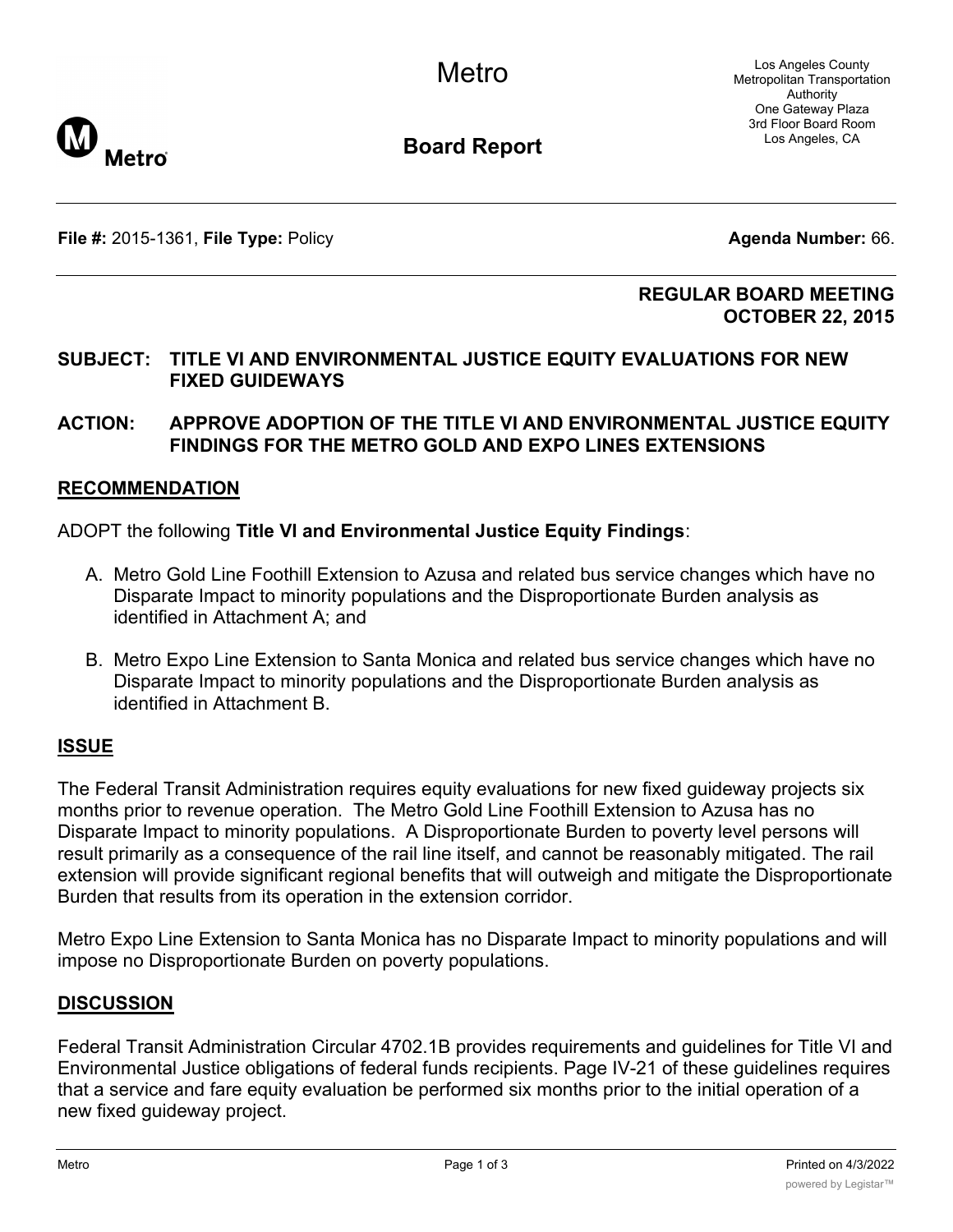Los Angeles County Metropolitan Transportation Authority One Gateway Plaza 3rd Floor Board Room Los Angeles, CA



**Board Report**

**File #:** 2015-1361, **File Type:** Policy **Agenda Number:** 66.

#### **REGULAR BOARD MEETING OCTOBER 22, 2015**

## **SUBJECT: TITLE VI AND ENVIRONMENTAL JUSTICE EQUITY EVALUATIONS FOR NEW FIXED GUIDEWAYS**

# **ACTION: APPROVE ADOPTION OF THE TITLE VI AND ENVIRONMENTAL JUSTICE EQUITY FINDINGS FOR THE METRO GOLD AND EXPO LINES EXTENSIONS**

# **RECOMMENDATION**

ADOPT the following **Title VI and Environmental Justice Equity Findings**:

- A. Metro Gold Line Foothill Extension to Azusa and related bus service changes which have no Disparate Impact to minority populations and the Disproportionate Burden analysis as identified in Attachment A; and
- B. Metro Expo Line Extension to Santa Monica and related bus service changes which have no Disparate Impact to minority populations and the Disproportionate Burden analysis as identified in Attachment B.

### **ISSUE**

The Federal Transit Administration requires equity evaluations for new fixed guideway projects six months prior to revenue operation. The Metro Gold Line Foothill Extension to Azusa has no Disparate Impact to minority populations. A Disproportionate Burden to poverty level persons will result primarily as a consequence of the rail line itself, and cannot be reasonably mitigated. The rail extension will provide significant regional benefits that will outweigh and mitigate the Disproportionate Burden that results from its operation in the extension corridor.

Metro Expo Line Extension to Santa Monica has no Disparate Impact to minority populations and will impose no Disproportionate Burden on poverty populations.

### **DISCUSSION**

Federal Transit Administration Circular 4702.1B provides requirements and guidelines for Title VI and Environmental Justice obligations of federal funds recipients. Page IV-21 of these guidelines requires that a service and fare equity evaluation be performed six months prior to the initial operation of a new fixed guideway project.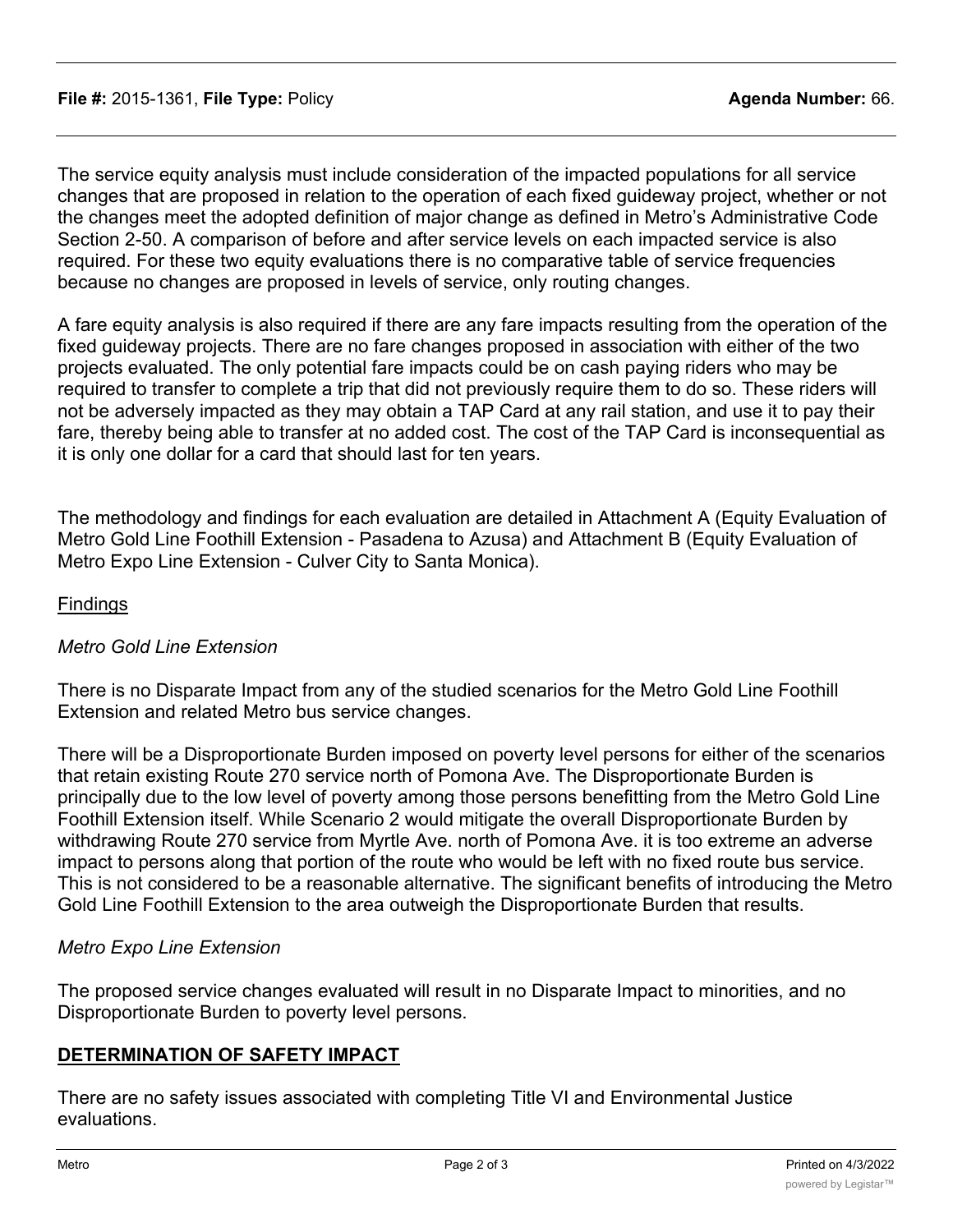The service equity analysis must include consideration of the impacted populations for all service changes that are proposed in relation to the operation of each fixed guideway project, whether or not the changes meet the adopted definition of major change as defined in Metro's Administrative Code Section 2-50. A comparison of before and after service levels on each impacted service is also required. For these two equity evaluations there is no comparative table of service frequencies because no changes are proposed in levels of service, only routing changes.

A fare equity analysis is also required if there are any fare impacts resulting from the operation of the fixed guideway projects. There are no fare changes proposed in association with either of the two projects evaluated. The only potential fare impacts could be on cash paying riders who may be required to transfer to complete a trip that did not previously require them to do so. These riders will not be adversely impacted as they may obtain a TAP Card at any rail station, and use it to pay their fare, thereby being able to transfer at no added cost. The cost of the TAP Card is inconsequential as it is only one dollar for a card that should last for ten years.

The methodology and findings for each evaluation are detailed in Attachment A (Equity Evaluation of Metro Gold Line Foothill Extension - Pasadena to Azusa) and Attachment B (Equity Evaluation of Metro Expo Line Extension - Culver City to Santa Monica).

## **Findings**

### *Metro Gold Line Extension*

There is no Disparate Impact from any of the studied scenarios for the Metro Gold Line Foothill Extension and related Metro bus service changes.

There will be a Disproportionate Burden imposed on poverty level persons for either of the scenarios that retain existing Route 270 service north of Pomona Ave. The Disproportionate Burden is principally due to the low level of poverty among those persons benefitting from the Metro Gold Line Foothill Extension itself. While Scenario 2 would mitigate the overall Disproportionate Burden by withdrawing Route 270 service from Myrtle Ave. north of Pomona Ave. it is too extreme an adverse impact to persons along that portion of the route who would be left with no fixed route bus service. This is not considered to be a reasonable alternative. The significant benefits of introducing the Metro Gold Line Foothill Extension to the area outweigh the Disproportionate Burden that results.

### *Metro Expo Line Extension*

The proposed service changes evaluated will result in no Disparate Impact to minorities, and no Disproportionate Burden to poverty level persons.

### **DETERMINATION OF SAFETY IMPACT**

There are no safety issues associated with completing Title VI and Environmental Justice evaluations.